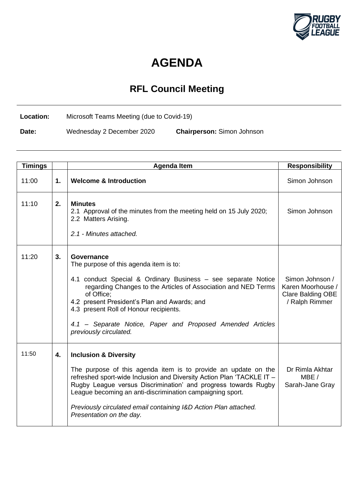

## **AGENDA**

## **RFL Council Meeting**

**Location:** Microsoft Teams Meeting (due to Covid-19)

**Date:** Wednesday 2 December 2020 **Chairperson:** Simon Johnson

| <b>Timings</b> |    | <b>Agenda Item</b>                                                                                                                                                                                                                                                                                                                                                                                         | <b>Responsibility</b>                                                              |
|----------------|----|------------------------------------------------------------------------------------------------------------------------------------------------------------------------------------------------------------------------------------------------------------------------------------------------------------------------------------------------------------------------------------------------------------|------------------------------------------------------------------------------------|
| 11:00          | 1. | <b>Welcome &amp; Introduction</b>                                                                                                                                                                                                                                                                                                                                                                          | Simon Johnson                                                                      |
| 11:10          | 2. | <b>Minutes</b><br>2.1 Approval of the minutes from the meeting held on 15 July 2020;<br>2.2 Matters Arising.<br>2.1 - Minutes attached.                                                                                                                                                                                                                                                                    | Simon Johnson                                                                      |
| 11:20          | 3. | Governance<br>The purpose of this agenda item is to:<br>4.1 conduct Special & Ordinary Business - see separate Notice<br>regarding Changes to the Articles of Association and NED Terms<br>of Office;<br>4.2 present President's Plan and Awards; and<br>4.3 present Roll of Honour recipients.<br>4.1 - Separate Notice, Paper and Proposed Amended Articles<br>previously circulated.                    | Simon Johnson /<br>Karen Moorhouse /<br><b>Clare Balding OBE</b><br>/ Ralph Rimmer |
| 11:50          | 4. | <b>Inclusion &amp; Diversity</b><br>The purpose of this agenda item is to provide an update on the<br>refreshed sport-wide Inclusion and Diversity Action Plan 'TACKLE IT -<br>Rugby League versus Discrimination' and progress towards Rugby<br>League becoming an anti-discrimination campaigning sport.<br>Previously circulated email containing I&D Action Plan attached.<br>Presentation on the day. | Dr Rimla Akhtar<br>MBE /<br>Sarah-Jane Gray                                        |